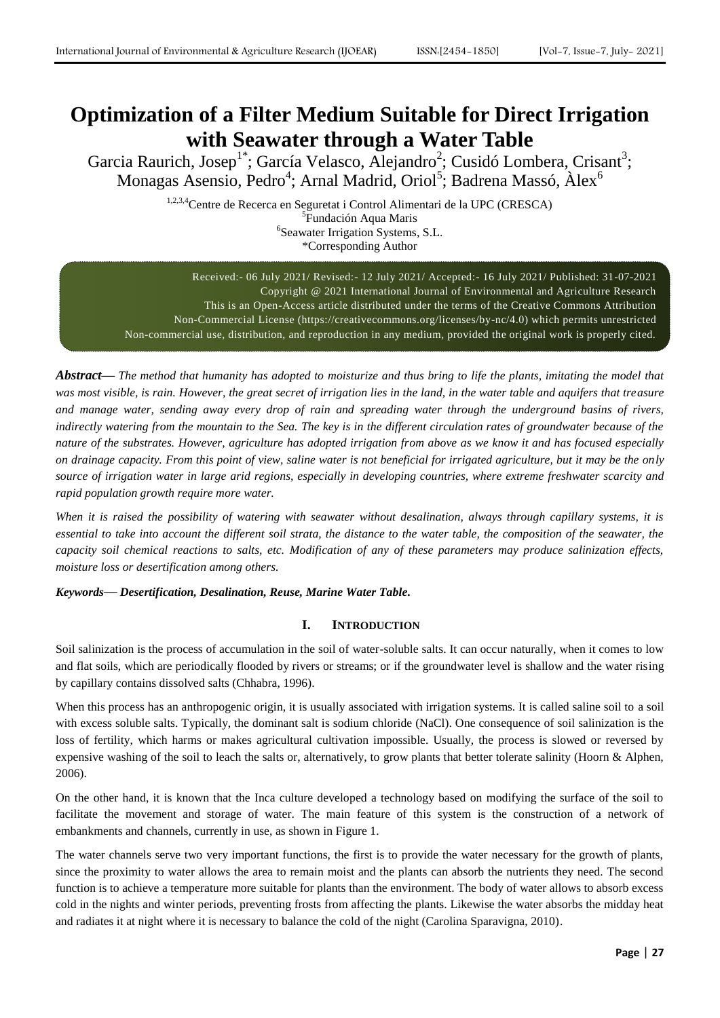# **Optimization of a Filter Medium Suitable for Direct Irrigation with Seawater through a Water Table**

Garcia Raurich, Josep<sup>1\*</sup>; García Velasco, Alejandro<sup>2</sup>; Cusidó Lombera, Crisant<sup>3</sup>; Monagas Asensio, Pedro<sup>4</sup>; Arnal Madrid, Oriol<sup>5</sup>; Badrena Massó, Àlex<sup>6</sup>

> 1,2,3,4Centre de Recerca en Seguretat i Control Alimentari de la UPC (CRESCA) 5 Fundación Aqua Maris 6 Seawater Irrigation Systems, S.L. \*Corresponding Author

Received:- 06 July 2021/ Revised:- 12 July 2021/ Accepted:- 16 July 2021/ Published: 31-07-2021 Copyright @ 2021 International Journal of Environmental and Agriculture Research This is an Open-Access article distributed under the terms of the Creative Commons Attribution Non-Commercial License (https://creativecommons.org/licenses/by-nc/4.0) which permits unrestricted Non-commercial use, distribution, and reproduction in any medium, provided the original work is properly cited.

*Abstract***—** *The method that humanity has adopted to moisturize and thus bring to life the plants, imitating the model that was most visible, is rain. However, the great secret of irrigation lies in the land, in the water table and aquifers that treasure and manage water, sending away every drop of rain and spreading water through the underground basins of rivers, indirectly watering from the mountain to the Sea. The key is in the different circulation rates of groundwater because of the nature of the substrates. However, agriculture has adopted irrigation from above as we know it and has focused especially on drainage capacity. From this point of view, saline water is not beneficial for irrigated agriculture, but it may be the only source of irrigation water in large arid regions, especially in developing countries, where extreme freshwater scarcity and rapid population growth require more water.*

*When it is raised the possibility of watering with seawater without desalination, always through capillary systems, it is essential to take into account the different soil strata, the distance to the water table, the composition of the seawater, the capacity soil chemical reactions to salts, etc. Modification of any of these parameters may produce salinization effects, moisture loss or desertification among others.*

# *Keywords***—** *Desertification, Desalination, Reuse, Marine Water Table.*

# **I. INTRODUCTION**

Soil salinization is the process of accumulation in the soil of water-soluble salts. It can occur naturally, when it comes to low and flat soils, which are periodically flooded by rivers or streams; or if the groundwater level is shallow and the water rising by capillary contains dissolved salts (Chhabra, 1996).

When this process has an anthropogenic origin, it is usually associated with irrigation systems. It is called saline soil to a soil with excess soluble salts. Typically, the dominant salt is sodium chloride (NaCl). One consequence of soil salinization is the loss of fertility, which harms or makes agricultural cultivation impossible. Usually, the process is slowed or reversed by expensive washing of the soil to leach the salts or, alternatively, to grow plants that better tolerate salinity (Hoorn & Alphen, 2006).

On the other hand, it is known that the Inca culture developed a technology based on modifying the surface of the soil to facilitate the movement and storage of water. The main feature of this system is the construction of a network of embankments and channels, currently in use, as shown in Figure 1.

The water channels serve two very important functions, the first is to provide the water necessary for the growth of plants, since the proximity to water allows the area to remain moist and the plants can absorb the nutrients they need. The second function is to achieve a temperature more suitable for plants than the environment. The body of water allows to absorb excess cold in the nights and winter periods, preventing frosts from affecting the plants. Likewise the water absorbs the midday heat and radiates it at night where it is necessary to balance the cold of the night (Carolina Sparavigna, 2010).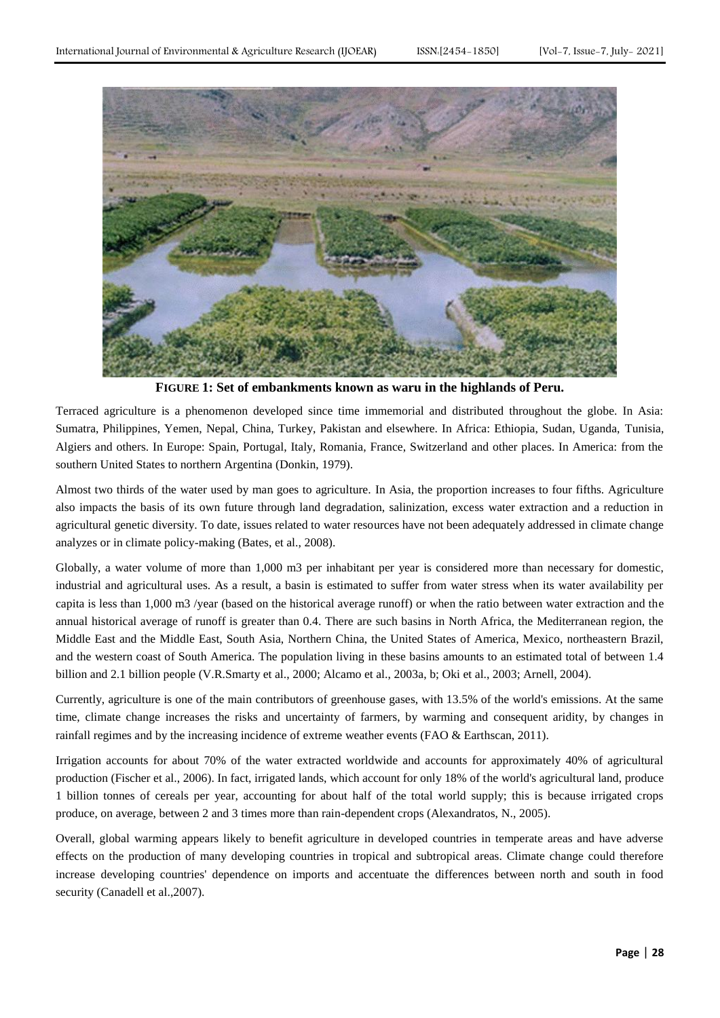

**FIGURE 1: Set of embankments known as waru in the highlands of Peru.**

Terraced agriculture is a phenomenon developed since time immemorial and distributed throughout the globe. In Asia: Sumatra, Philippines, Yemen, Nepal, China, Turkey, Pakistan and elsewhere. In Africa: Ethiopia, Sudan, Uganda, Tunisia, Algiers and others. In Europe: Spain, Portugal, Italy, Romania, France, Switzerland and other places. In America: from the southern United States to northern Argentina (Donkin, 1979).

Almost two thirds of the water used by man goes to agriculture. In Asia, the proportion increases to four fifths. Agriculture also impacts the basis of its own future through land degradation, salinization, excess water extraction and a reduction in agricultural genetic diversity. To date, issues related to water resources have not been adequately addressed in climate change analyzes or in climate policy-making (Bates, et al., 2008).

Globally, a water volume of more than 1,000 m3 per inhabitant per year is considered more than necessary for domestic, industrial and agricultural uses. As a result, a basin is estimated to suffer from water stress when its water availability per capita is less than 1,000 m3 /year (based on the historical average runoff) or when the ratio between water extraction and the annual historical average of runoff is greater than 0.4. There are such basins in North Africa, the Mediterranean region, the Middle East and the Middle East, South Asia, Northern China, the United States of America, Mexico, northeastern Brazil, and the western coast of South America. The population living in these basins amounts to an estimated total of between 1.4 billion and 2.1 billion people (V.R.Smarty et al., 2000; Alcamo et al., 2003a, b; Oki et al., 2003; Arnell, 2004).

Currently, agriculture is one of the main contributors of greenhouse gases, with 13.5% of the world's emissions. At the same time, climate change increases the risks and uncertainty of farmers, by warming and consequent aridity, by changes in rainfall regimes and by the increasing incidence of extreme weather events (FAO & Earthscan, 2011).

Irrigation accounts for about 70% of the water extracted worldwide and accounts for approximately 40% of agricultural production (Fischer et al., 2006). In fact, irrigated lands, which account for only 18% of the world's agricultural land, produce 1 billion tonnes of cereals per year, accounting for about half of the total world supply; this is because irrigated crops produce, on average, between 2 and 3 times more than rain-dependent crops (Alexandratos, N., 2005).

Overall, global warming appears likely to benefit agriculture in developed countries in temperate areas and have adverse effects on the production of many developing countries in tropical and subtropical areas. Climate change could therefore increase developing countries' dependence on imports and accentuate the differences between north and south in food security (Canadell et al.,2007).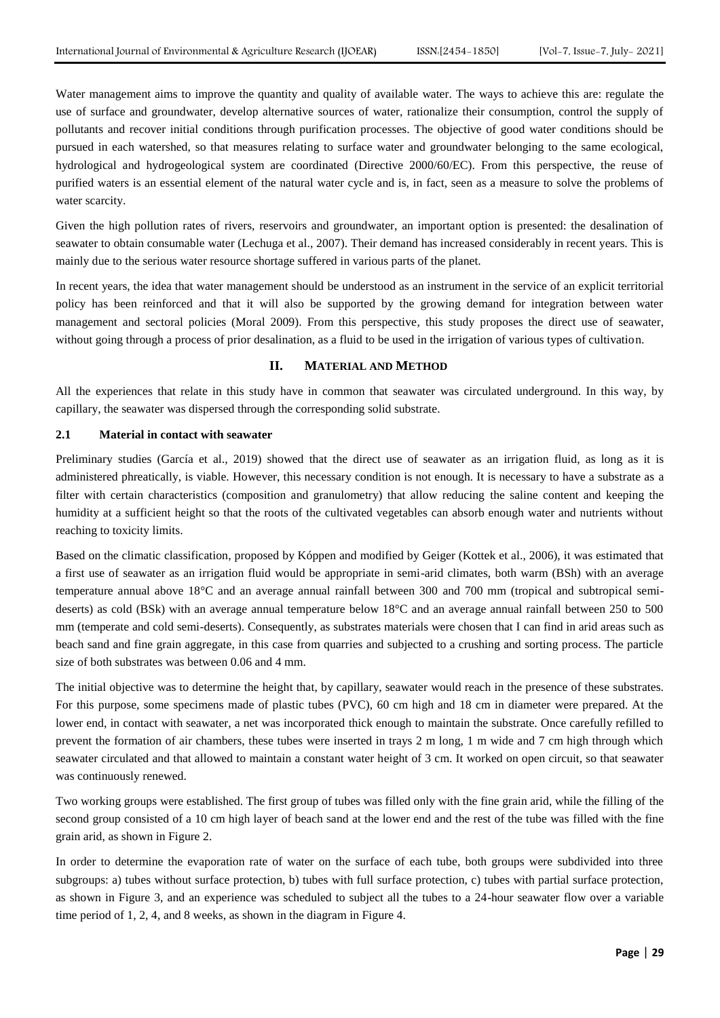Water management aims to improve the quantity and quality of available water. The ways to achieve this are: regulate the use of surface and groundwater, develop alternative sources of water, rationalize their consumption, control the supply of pollutants and recover initial conditions through purification processes. The objective of good water conditions should be pursued in each watershed, so that measures relating to surface water and groundwater belonging to the same ecological, hydrological and hydrogeological system are coordinated (Directive 2000/60/EC). From this perspective, the reuse of purified waters is an essential element of the natural water cycle and is, in fact, seen as a measure to solve the problems of water scarcity.

Given the high pollution rates of rivers, reservoirs and groundwater, an important option is presented: the desalination of seawater to obtain consumable water (Lechuga et al., 2007). Their demand has increased considerably in recent years. This is mainly due to the serious water resource shortage suffered in various parts of the planet.

In recent years, the idea that water management should be understood as an instrument in the service of an explicit territorial policy has been reinforced and that it will also be supported by the growing demand for integration between water management and sectoral policies (Moral 2009). From this perspective, this study proposes the direct use of seawater, without going through a process of prior desalination, as a fluid to be used in the irrigation of various types of cultivation.

### **II. MATERIAL AND METHOD**

All the experiences that relate in this study have in common that seawater was circulated underground. In this way, by capillary, the seawater was dispersed through the corresponding solid substrate.

### **2.1 Material in contact with seawater**

Preliminary studies (García et al., 2019) showed that the direct use of seawater as an irrigation fluid, as long as it is administered phreatically, is viable. However, this necessary condition is not enough. It is necessary to have a substrate as a filter with certain characteristics (composition and granulometry) that allow reducing the saline content and keeping the humidity at a sufficient height so that the roots of the cultivated vegetables can absorb enough water and nutrients without reaching to toxicity limits.

Based on the climatic classification, proposed by Kóppen and modified by Geiger (Kottek et al., 2006), it was estimated that a first use of seawater as an irrigation fluid would be appropriate in semi-arid climates, both warm (BSh) with an average temperature annual above 18°C and an average annual rainfall between 300 and 700 mm (tropical and subtropical semideserts) as cold (BSk) with an average annual temperature below 18°C and an average annual rainfall between 250 to 500 mm (temperate and cold semi-deserts). Consequently, as substrates materials were chosen that I can find in arid areas such as beach sand and fine grain aggregate, in this case from quarries and subjected to a crushing and sorting process. The particle size of both substrates was between 0.06 and 4 mm.

The initial objective was to determine the height that, by capillary, seawater would reach in the presence of these substrates. For this purpose, some specimens made of plastic tubes (PVC), 60 cm high and 18 cm in diameter were prepared. At the lower end, in contact with seawater, a net was incorporated thick enough to maintain the substrate. Once carefully refilled to prevent the formation of air chambers, these tubes were inserted in trays 2 m long, 1 m wide and 7 cm high through which seawater circulated and that allowed to maintain a constant water height of 3 cm. It worked on open circuit, so that seawater was continuously renewed.

Two working groups were established. The first group of tubes was filled only with the fine grain arid, while the filling of the second group consisted of a 10 cm high layer of beach sand at the lower end and the rest of the tube was filled with the fine grain arid, as shown in Figure 2.

In order to determine the evaporation rate of water on the surface of each tube, both groups were subdivided into three subgroups: a) tubes without surface protection, b) tubes with full surface protection, c) tubes with partial surface protection, as shown in Figure 3, and an experience was scheduled to subject all the tubes to a 24-hour seawater flow over a variable time period of 1, 2, 4, and 8 weeks, as shown in the diagram in Figure 4.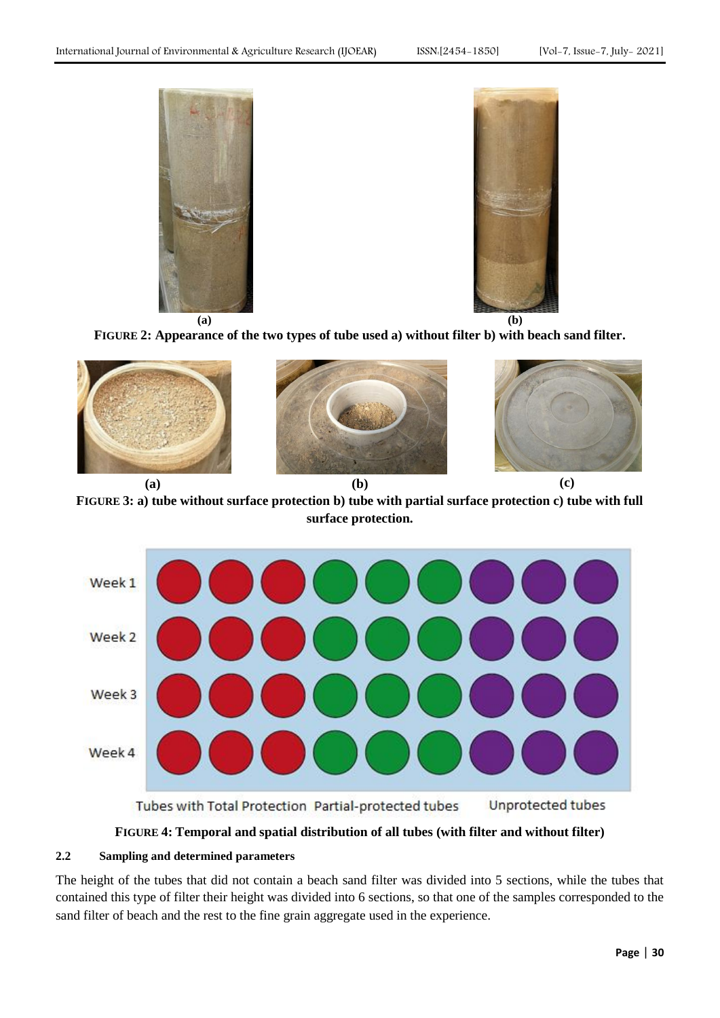



**FIGURE 2: Appearance of the two types of tube used a) without filter b) with beach sand filter.**



**FIGURE 3: a) tube without surface protection b) tube with partial surface protection c) tube with full surface protection.**



**FIGURE 4: Temporal and spatial distribution of all tubes (with filter and without filter)**

# **2.2 Sampling and determined parameters**

The height of the tubes that did not contain a beach sand filter was divided into 5 sections, while the tubes that contained this type of filter their height was divided into 6 sections, so that one of the samples corresponded to the sand filter of beach and the rest to the fine grain aggregate used in the experience.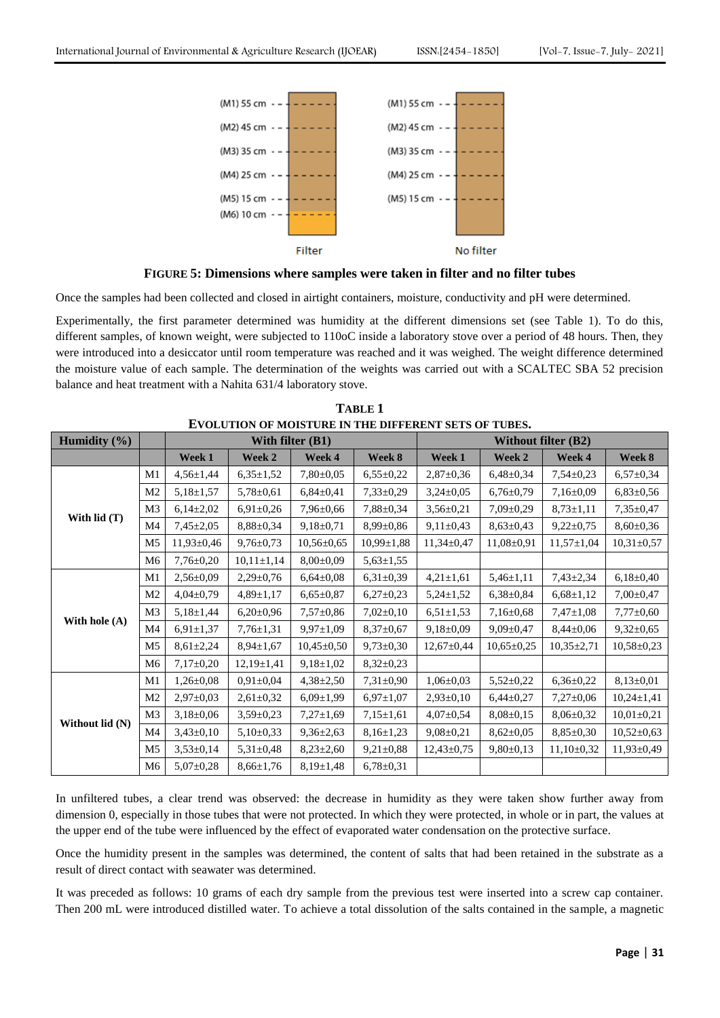

**FIGURE 5: Dimensions where samples were taken in filter and no filter tubes**

Once the samples had been collected and closed in airtight containers, moisture, conductivity and pH were determined.

Experimentally, the first parameter determined was humidity at the different dimensions set (see Table 1). To do this, different samples, of known weight, were subjected to 110oC inside a laboratory stove over a period of 48 hours. Then, they were introduced into a desiccator until room temperature was reached and it was weighed. The weight difference determined the moisture value of each sample. The determination of the weights was carried out with a SCALTEC SBA 52 precision balance and heat treatment with a Nahita 631/4 laboratory stove.

| <b>EVOLUTION OF MOISTURE IN THE DIFFERENT SETS OF TUBES.</b> |                |                  |                 |                    |                  |                            |                  |                  |                  |
|--------------------------------------------------------------|----------------|------------------|-----------------|--------------------|------------------|----------------------------|------------------|------------------|------------------|
| <b>Humidity</b> $(\% )$                                      |                |                  |                 | With filter $(B1)$ |                  | <b>Without filter (B2)</b> |                  |                  |                  |
|                                                              |                | Week 1           | Week 2          | Week 4             | Week 8           | Week 1                     | Week 2           | Week 4           | Week 8           |
|                                                              | M1             | $4,56 \pm 1,44$  | $6,35\pm1,52$   | $7,80\pm0,05$      | $6,55\pm0.22$    | $2,87 \pm 0,36$            | $6,48\pm0,34$    | $7,54\pm0.23$    | $6,57\pm0,34$    |
|                                                              | M <sub>2</sub> | $5,18\pm1,57$    | $5,78 \pm 0,61$ | $6,84\pm0,41$      | $7,33\pm0,29$    | $3,24\pm0.05$              | $6,76\pm0,79$    | $7,16\pm0.09$    | $6,83\pm0,56$    |
|                                                              | M <sub>3</sub> | $6,14\pm2,02$    | $6,91\pm0,26$   | $7,96 \pm 0,66$    | $7,88 \pm 0,34$  | $3,56 \pm 0.21$            | $7,09\pm0,29$    | $8,73 \pm 1,11$  | $7,35\pm0.47$    |
| With $lid(T)$                                                | M4             | $7,45\pm2,05$    | $8,88 \pm 0.34$ | $9,18\pm0.71$      | $8.99 \pm 0.86$  | $9,11\pm0.43$              | $8,63\pm0,43$    | $9,22\pm0.75$    | $8,60\pm0,36$    |
|                                                              | M <sub>5</sub> | $11,93 \pm 0,46$ | $9,76 \pm 0.73$ | $10,56 \pm 0.65$   | $10,99 \pm 1,88$ | $11,34\pm0.47$             | $11,08 \pm 0.91$ | $11,57 \pm 1,04$ | $10,31\pm0,57$   |
|                                                              | M <sub>6</sub> | $7,76 \pm 0,20$  | $10,11\pm1,14$  | $8,00\pm0.09$      | $5,63 \pm 1,55$  |                            |                  |                  |                  |
| With hole (A)                                                | M1             | $2,56 \pm 0.09$  | $2,29\pm0,76$   | $6,64\pm0,08$      | $6,31\pm0,39$    | $4,21 \pm 1,61$            | $5,46\pm1,11$    | $7,43\pm2,34$    | $6,18\pm0,40$    |
|                                                              | M <sub>2</sub> | $4,04\pm0,79$    | $4,89 \pm 1,17$ | $6,65 \pm 0,87$    | $6,27\pm0.23$    | $5,24\pm1,52$              | $6,38\pm0.84$    | $6,68 \pm 1,12$  | $7,00\pm0.47$    |
|                                                              | M <sub>3</sub> | $5,18\pm1,44$    | $6,20\pm0.96$   | $7,57 \pm 0.86$    | $7,02\pm0,10$    | $6.51 \pm 1.53$            | $7,16\pm0.68$    | $7,47 \pm 1,08$  | $7,77\pm0,60$    |
|                                                              | M4             | $6,91\pm1,37$    | $7,76 \pm 1,31$ | $9.97 \pm 1.09$    | $8,37 \pm 0.67$  | $9,18\pm0.09$              | $9,09 \pm 0,47$  | $8,44\pm0,06$    | $9,32\pm0.65$    |
|                                                              | M <sub>5</sub> | $8,61\pm2,24$    | $8,94 \pm 1,67$ | $10,45\pm0.50$     | $9,73\pm0.30$    | $12,67 \pm 0,44$           | $10,65 \pm 0,25$ | $10,35\pm2,71$   | $10,58 \pm 0,23$ |
|                                                              | M6             | $7,17\pm0,20$    | $12,19\pm1,41$  | $9,18 \pm 1,02$    | $8,32\pm0,23$    |                            |                  |                  |                  |
| Without lid (N)                                              | M1             | $1,26 \pm 0.08$  | $0,91\pm0,04$   | $4,38\pm2,50$      | $7,31\pm0.90$    | $1,06 \pm 0,03$            | $5,52\pm0,22$    | $6,36\pm0,22$    | $8,13\pm0,01$    |
|                                                              | M <sub>2</sub> | $2,97 \pm 0,03$  | $2,61\pm0,32$   | $6,09 \pm 1,99$    | $6,97 \pm 1,07$  | $2,93\pm0,10$              | $6,44\pm0,27$    | $7,27\pm0,06$    | $10,24 \pm 1,41$ |
|                                                              | M <sub>3</sub> | $3,18\pm0,06$    | $3,59\pm0,23$   | $7,27 \pm 1,69$    | $7,15\pm1,61$    | $4,07 \pm 0.54$            | $8,08\pm0,15$    | $8,06\pm0.32$    | $10,01\pm0,21$   |
|                                                              | M4             | $3,43\pm0,10$    | $5,10\pm0.33$   | $9,36\pm2,63$      | $8,16\pm1,23$    | $9,08 \pm 0,21$            | $8,62{\pm}0.05$  | $8,85\pm0.30$    | $10,52{\pm}0,63$ |
|                                                              | M <sub>5</sub> | $3,53\pm0,14$    | $5,31\pm0,48$   | $8,23\pm2,60$      | $9,21\pm0.88$    | $12,43\pm0,75$             | $9,80\pm0,13$    | $11,10\pm0,32$   | $11,93 \pm 0,49$ |
|                                                              | M6             | $5,07\pm0,28$    | $8,66 \pm 1,76$ | $8,19 \pm 1,48$    | $6,78 \pm 0,31$  |                            |                  |                  |                  |

| <b>TABLE 1</b>                                              |
|-------------------------------------------------------------|
| <b>EVOLUTION OF MOISTURE IN THE DIFFERENT SETS OF TUBES</b> |

In unfiltered tubes, a clear trend was observed: the decrease in humidity as they were taken show further away from dimension 0, especially in those tubes that were not protected. In which they were protected, in whole or in part, the values at the upper end of the tube were influenced by the effect of evaporated water condensation on the protective surface.

Once the humidity present in the samples was determined, the content of salts that had been retained in the substrate as a result of direct contact with seawater was determined.

It was preceded as follows: 10 grams of each dry sample from the previous test were inserted into a screw cap container. Then 200 mL were introduced distilled water. To achieve a total dissolution of the salts contained in the sample, a magnetic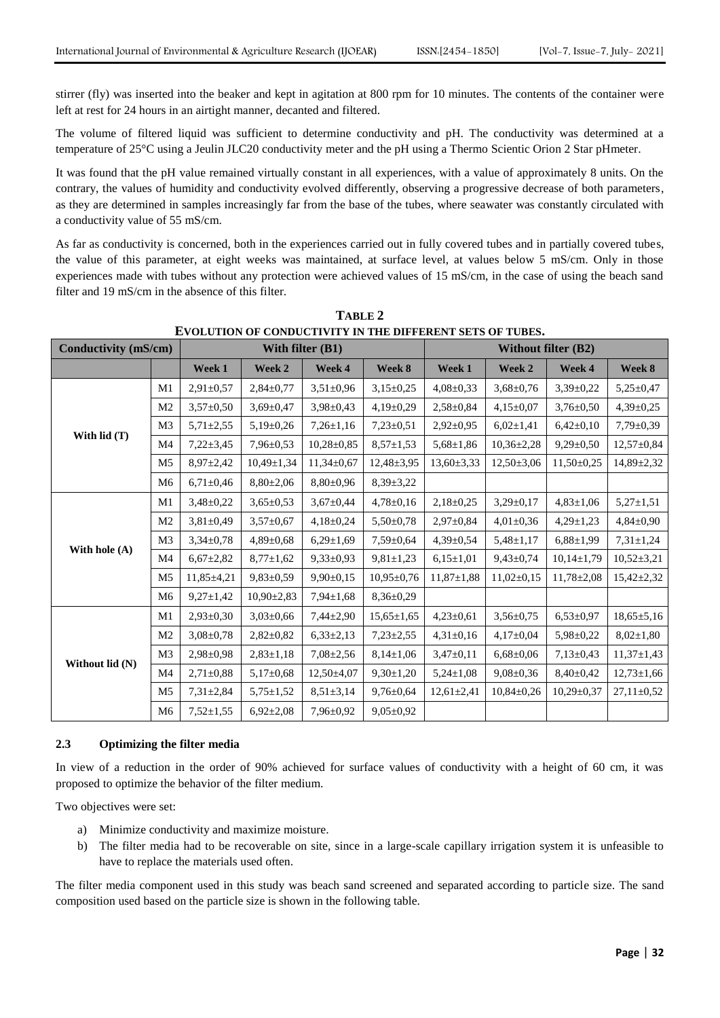stirrer (fly) was inserted into the beaker and kept in agitation at 800 rpm for 10 minutes. The contents of the container were left at rest for 24 hours in an airtight manner, decanted and filtered.

The volume of filtered liquid was sufficient to determine conductivity and pH. The conductivity was determined at a temperature of 25°C using a Jeulin JLC20 conductivity meter and the pH using a Thermo Scientic Orion 2 Star pHmeter.

It was found that the pH value remained virtually constant in all experiences, with a value of approximately 8 units. On the contrary, the values of humidity and conductivity evolved differently, observing a progressive decrease of both parameters, as they are determined in samples increasingly far from the base of the tubes, where seawater was constantly circulated with a conductivity value of 55 mS/cm.

As far as conductivity is concerned, both in the experiences carried out in fully covered tubes and in partially covered tubes, the value of this parameter, at eight weeks was maintained, at surface level, at values below 5 mS/cm. Only in those experiences made with tubes without any protection were achieved values of 15 mS/cm, in the case of using the beach sand filter and 19 mS/cm in the absence of this filter.

| Conductivity (mS/cm) |                |                  | With filter (B1) |                  | <b>Without filter (B2)</b> |                  |                  |                  |                  |
|----------------------|----------------|------------------|------------------|------------------|----------------------------|------------------|------------------|------------------|------------------|
|                      |                | Week 1           | Week 2           | Week 4           | Week 8                     | Week 1           | Week 2           | Week 4           | Week 8           |
|                      | M1             | $2,91 \pm 0,57$  | $2,84\pm0.77$    | $3,51 \pm 0,96$  | $3,15\pm0,25$              | $4,08 \pm 0,33$  | $3,68 \pm 0,76$  | $3,39\pm0,22$    | $5,25 \pm 0,47$  |
|                      | M <sub>2</sub> | $3,57 \pm 0,50$  | $3,69 \pm 0,47$  | $3,98 \pm 0,43$  | $4,19\pm0,29$              | $2,58 \pm 0.84$  | $4,15\pm0,07$    | $3,76 \pm 0.50$  | $4,39 \pm 0,25$  |
| With lid (T)         | M <sub>3</sub> | $5,71 \pm 2,55$  | $5,19\pm0.26$    | $7,26 \pm 1,16$  | $7,23\pm0,51$              | $2,92 \pm 0,95$  | $6,02 \pm 1,41$  | $6,42\pm0,10$    | $7,79 \pm 0,39$  |
|                      | M4             | $7,22\pm3,45$    | $7,96 \pm 0.53$  | $10,28 \pm 0,85$ | $8,57 \pm 1,53$            | $5,68 \pm 1,86$  | $10,36\pm2,28$   | $9,29 \pm 0.50$  | $12,57 \pm 0.84$ |
|                      | M <sub>5</sub> | $8,97 \pm 2,42$  | $10,49 \pm 1,34$ | $11,34\pm0,67$   | $12,48 \pm 3,95$           | $13,60\pm3,33$   | $12,50 \pm 3,06$ | $11,50\pm0,25$   | 14,89±2,32       |
|                      | M <sub>6</sub> | $6,71\pm0.46$    | $8,80\pm2,06$    | $8,80\pm0.96$    | $8,39 \pm 3,22$            |                  |                  |                  |                  |
|                      | M1             | $3,48 \pm 0,22$  | $3,65 \pm 0.53$  | $3,67 \pm 0,44$  | $4,78 \pm 0,16$            | $2,18\pm0.25$    | $3,29 \pm 0,17$  | $4,83 \pm 1,06$  | $5,27 \pm 1,51$  |
|                      | M <sub>2</sub> | $3,81\pm0.49$    | $3,57 \pm 0.67$  | $4,18\pm0,24$    | $5.50 \pm 0.78$            | $2.97 \pm 0.84$  | $4,01\pm0,36$    | $4,29\pm1,23$    | $4,84\pm0.90$    |
|                      | M <sub>3</sub> | $3,34\pm0,78$    | $4,89 \pm 0.68$  | $6,29 \pm 1,69$  | $7.59 \pm 0.64$            | $4,39 \pm 0.54$  | $5,48 \pm 1,17$  | $6,88 \pm 1,99$  | $7,31 \pm 1,24$  |
| With hole (A)        | M <sub>4</sub> | $6,67{\pm}2,82$  | $8,77 \pm 1,62$  | $9,33\pm0,93$    | $9,81 \pm 1,23$            | $6,15\pm1,01$    | $9,43\pm0,74$    | $10,14\pm1,79$   | $10,52 \pm 3,21$ |
|                      | M <sub>5</sub> | $11,85 \pm 4,21$ | $9,83 \pm 0.59$  | $9,90 \pm 0,15$  | $10,95 \pm 0.76$           | $11,87 \pm 1,88$ | $11,02\pm0,15$   | $11,78 \pm 2,08$ | $15,42\pm2,32$   |
|                      | M <sub>6</sub> | $9,27 \pm 1,42$  | $10,90 \pm 2,83$ | $7,94 \pm 1,68$  | $8,36\pm0.29$              |                  |                  |                  |                  |
| Without lid (N)      | M <sub>1</sub> | $2,93\pm0,30$    | $3,03 \pm 0,66$  | $7,44\pm2,90$    | $15,65 \pm 1,65$           | $4,23\pm0.61$    | $3,56 \pm 0.75$  | $6,53\pm0,97$    | $18,65 \pm 5,16$ |
|                      | M <sub>2</sub> | $3,08 \pm 0.78$  | $2,82\pm0,82$    | $6,33\pm2,13$    | $7,23\pm2,55$              | $4,31\pm0,16$    | $4.17 \pm 0.04$  | $5,98 \pm 0,22$  | $8,02 \pm 1,80$  |
|                      | M <sub>3</sub> | $2,98 \pm 0.98$  | $2,83 \pm 1,18$  | $7,08 \pm 2,56$  | $8,14\pm1,06$              | $3,47\pm0,11$    | $6,68 \pm 0,06$  | $7,13\pm0.43$    | $11,37 \pm 1,43$ |
|                      | M <sub>4</sub> | $2,71\pm0,88$    | $5,17\pm0,68$    | $12,50 \pm 4,07$ | $9,30 \pm 1,20$            | $5,24 \pm 1,08$  | $9,08 \pm 0,36$  | $8,40\pm0,42$    | $12,73 \pm 1,66$ |
|                      | M <sub>5</sub> | $7,31 \pm 2,84$  | $5,75 \pm 1,52$  | $8,51 \pm 3,14$  | $9,76 \pm 0,64$            | $12,61 \pm 2,41$ | $10,84\pm0,26$   | $10,29\pm0,37$   | $27,11\pm0,52$   |
|                      | M <sub>6</sub> | $7,52 \pm 1,55$  | $6,92\pm2,08$    | $7,96 \pm 0,92$  | $9,05\pm0,92$              |                  |                  |                  |                  |

**TABLE 2 EVOLUTION OF CONDUCTIVITY IN THE DIFFERENT SETS OF TUBES.**

### **2.3 Optimizing the filter media**

In view of a reduction in the order of 90% achieved for surface values of conductivity with a height of 60 cm, it was proposed to optimize the behavior of the filter medium.

Two objectives were set:

- a) Minimize conductivity and maximize moisture.
- b) The filter media had to be recoverable on site, since in a large-scale capillary irrigation system it is unfeasible to have to replace the materials used often.

The filter media component used in this study was beach sand screened and separated according to particle size. The sand composition used based on the particle size is shown in the following table.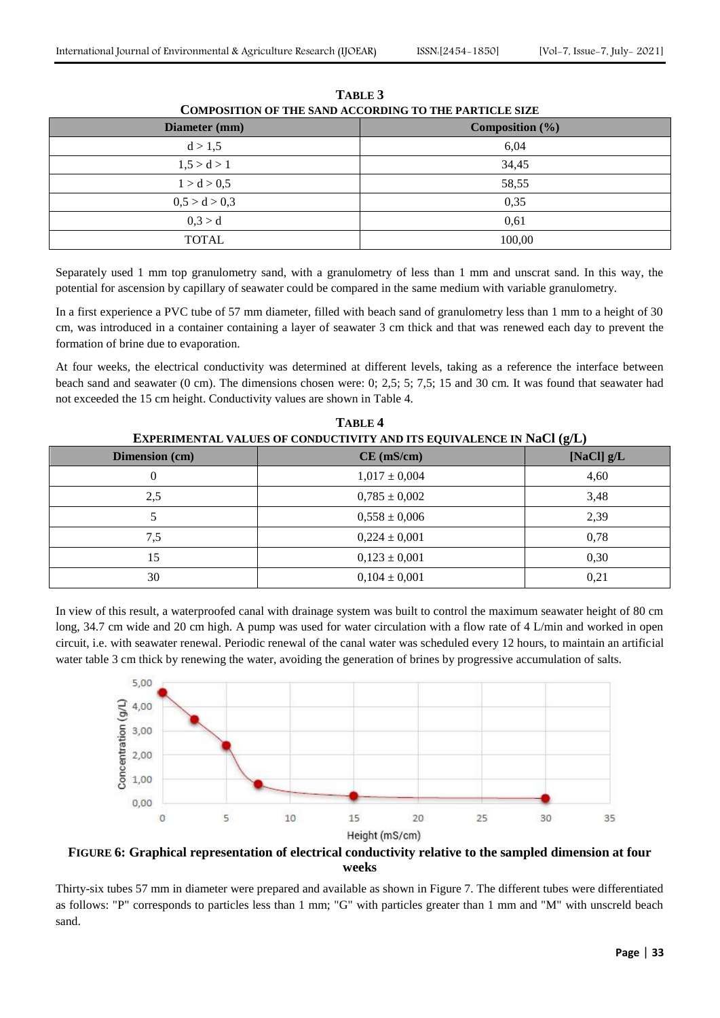| Diameter (mm) | Composition $(\% )$ |
|---------------|---------------------|
| d > 1,5       | 6,04                |
| 1,5 > d > 1   | 34,45               |
| 1 > d > 0.5   | 58,55               |
| 0.5 > d > 0.3 | 0,35                |
| 0,3 > d       | 0.61                |
| <b>TOTAL</b>  | 100,00              |

**TABLE 3 COMPOSITION OF THE SAND ACCORDING TO THE PARTICLE SIZE**

Separately used 1 mm top granulometry sand, with a granulometry of less than 1 mm and unscrat sand. In this way, the potential for ascension by capillary of seawater could be compared in the same medium with variable granulometry.

In a first experience a PVC tube of 57 mm diameter, filled with beach sand of granulometry less than 1 mm to a height of 30 cm, was introduced in a container containing a layer of seawater 3 cm thick and that was renewed each day to prevent the formation of brine due to evaporation.

At four weeks, the electrical conductivity was determined at different levels, taking as a reference the interface between beach sand and seawater (0 cm). The dimensions chosen were: 0; 2,5; 5; 7,5; 15 and 30 cm. It was found that seawater had not exceeded the 15 cm height. Conductivity values are shown in Table 4.

| <b>EXPERIMENTAL VALUES OF CONDUCTIVITY AND ITS EQUIVALENCE IN NACI (2/L)</b> |                   |              |  |  |  |  |
|------------------------------------------------------------------------------|-------------------|--------------|--|--|--|--|
| Dimension (cm)                                                               | $CE$ (mS/cm)      | [NaCl] $g/L$ |  |  |  |  |
| 0                                                                            | $1,017 \pm 0,004$ | 4,60         |  |  |  |  |
| 2,5                                                                          | $0,785 \pm 0,002$ | 3,48         |  |  |  |  |
|                                                                              | $0,558 \pm 0,006$ | 2,39         |  |  |  |  |
| 7,5                                                                          | $0,224 \pm 0,001$ | 0,78         |  |  |  |  |
| 15                                                                           | $0,123 \pm 0,001$ | 0,30         |  |  |  |  |
| 30                                                                           | $0,104 \pm 0,001$ | 0,21         |  |  |  |  |

**TABLE 4 EXPERIMENTAL VALUES OF CONDUCTIVITY AND ITS EQUIVALENCE IN NACL (** $\overline{d}$ **)** 

In view of this result, a waterproofed canal with drainage system was built to control the maximum seawater height of 80 cm long, 34.7 cm wide and 20 cm high. A pump was used for water circulation with a flow rate of 4 L/min and worked in open circuit, i.e. with seawater renewal. Periodic renewal of the canal water was scheduled every 12 hours, to maintain an artificial water table 3 cm thick by renewing the water, avoiding the generation of brines by progressive accumulation of salts.



**FIGURE 6: Graphical representation of electrical conductivity relative to the sampled dimension at four weeks**

Thirty-six tubes 57 mm in diameter were prepared and available as shown in Figure 7. The different tubes were differentiated as follows: "P" corresponds to particles less than 1 mm; "G" with particles greater than 1 mm and "M" with unscreld beach sand.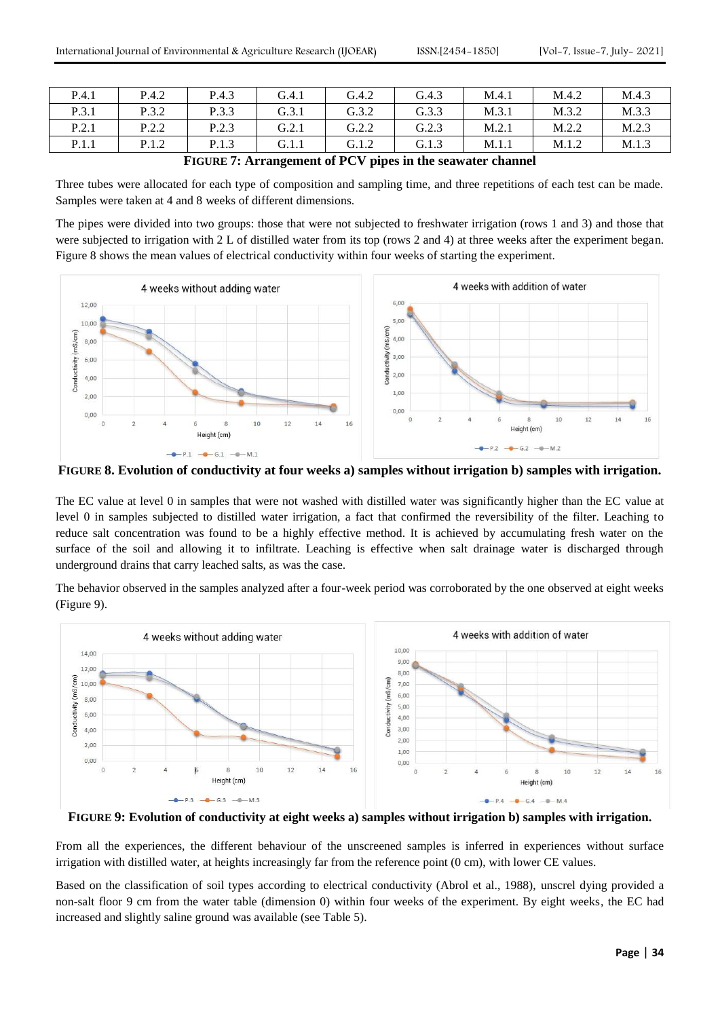| P.4.1 | P.4.2 | P.4.3 | G.4.1 | G.4.2 | G.4.3 | M.4.1 | M.4.2 | M.4.3 |
|-------|-------|-------|-------|-------|-------|-------|-------|-------|
| P.3.1 | P.3.2 | P.3.3 | G.3.1 | G.3.2 | G.3.3 | M.3.1 | M.3.2 | M.3.3 |
| P.2.1 | P.2.2 | P.2.3 | G.2.1 | G.2.2 | G.2.3 | M.2.1 | M.2.2 | M.2.3 |
| P.1.1 | P.1.2 | P.1.3 | G.1.1 | G.1.2 | G.1.3 | M.1.1 | M.1.2 | M.1.3 |

**FIGURE 7: Arrangement of PCV pipes in the seawater channel**

Three tubes were allocated for each type of composition and sampling time, and three repetitions of each test can be made. Samples were taken at 4 and 8 weeks of different dimensions.

The pipes were divided into two groups: those that were not subjected to freshwater irrigation (rows 1 and 3) and those that were subjected to irrigation with 2 L of distilled water from its top (rows 2 and 4) at three weeks after the experiment began. Figure 8 shows the mean values of electrical conductivity within four weeks of starting the experiment.



**FIGURE 8. Evolution of conductivity at four weeks a) samples without irrigation b) samples with irrigation.**

The EC value at level 0 in samples that were not washed with distilled water was significantly higher than the EC value at level 0 in samples subjected to distilled water irrigation, a fact that confirmed the reversibility of the filter. Leaching to reduce salt concentration was found to be a highly effective method. It is achieved by accumulating fresh water on the surface of the soil and allowing it to infiltrate. Leaching is effective when salt drainage water is discharged through underground drains that carry leached salts, as was the case.

The behavior observed in the samples analyzed after a four-week period was corroborated by the one observed at eight weeks (Figure 9).



**FIGURE 9: Evolution of conductivity at eight weeks a) samples without irrigation b) samples with irrigation.**

From all the experiences, the different behaviour of the unscreened samples is inferred in experiences without surface irrigation with distilled water, at heights increasingly far from the reference point (0 cm), with lower CE values.

Based on the classification of soil types according to electrical conductivity (Abrol et al., 1988), unscrel dying provided a non-salt floor 9 cm from the water table (dimension 0) within four weeks of the experiment. By eight weeks, the EC had increased and slightly saline ground was available (see Table 5).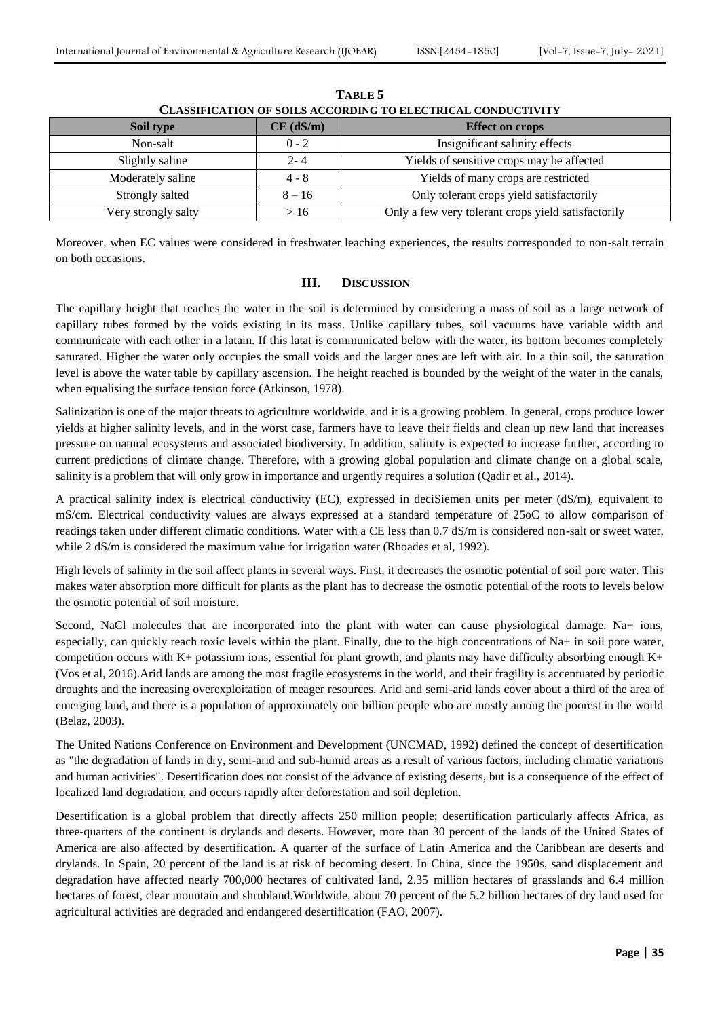| <b>CLASSIFICATION OF SOILS ACCORDING TO ELECTRICAL CONDUCTIVITY</b> |             |                                                     |  |  |  |  |  |
|---------------------------------------------------------------------|-------------|-----------------------------------------------------|--|--|--|--|--|
| Soil type                                                           | $CE$ (dS/m) | <b>Effect on crops</b>                              |  |  |  |  |  |
| Non-salt                                                            | $0 - 2$     | Insignificant salinity effects                      |  |  |  |  |  |
| Slightly saline                                                     | $2 - 4$     | Yields of sensitive crops may be affected           |  |  |  |  |  |
| Moderately saline                                                   | $4 - 8$     | Yields of many crops are restricted                 |  |  |  |  |  |
| Strongly salted                                                     | $8 - 16$    | Only tolerant crops yield satisfactorily            |  |  |  |  |  |
| Very strongly salty                                                 | >16         | Only a few very tolerant crops yield satisfactorily |  |  |  |  |  |

**TABLE 5**

Moreover, when EC values were considered in freshwater leaching experiences, the results corresponded to non-salt terrain on both occasions.

# **III. DISCUSSION**

The capillary height that reaches the water in the soil is determined by considering a mass of soil as a large network of capillary tubes formed by the voids existing in its mass. Unlike capillary tubes, soil vacuums have variable width and communicate with each other in a latain. If this latat is communicated below with the water, its bottom becomes completely saturated. Higher the water only occupies the small voids and the larger ones are left with air. In a thin soil, the saturation level is above the water table by capillary ascension. The height reached is bounded by the weight of the water in the canals, when equalising the surface tension force (Atkinson, 1978).

Salinization is one of the major threats to agriculture worldwide, and it is a growing problem. In general, crops produce lower yields at higher salinity levels, and in the worst case, farmers have to leave their fields and clean up new land that increases pressure on natural ecosystems and associated biodiversity. In addition, salinity is expected to increase further, according to current predictions of climate change. Therefore, with a growing global population and climate change on a global scale, salinity is a problem that will only grow in importance and urgently requires a solution (Qadir et al., 2014).

A practical salinity index is electrical conductivity (EC), expressed in deciSiemen units per meter (dS/m), equivalent to mS/cm. Electrical conductivity values are always expressed at a standard temperature of 25oC to allow comparison of readings taken under different climatic conditions. Water with a CE less than 0.7 dS/m is considered non-salt or sweet water, while 2 dS/m is considered the maximum value for irrigation water (Rhoades et al, 1992).

High levels of salinity in the soil affect plants in several ways. First, it decreases the osmotic potential of soil pore water. This makes water absorption more difficult for plants as the plant has to decrease the osmotic potential of the roots to levels below the osmotic potential of soil moisture.

Second, NaCl molecules that are incorporated into the plant with water can cause physiological damage. Na+ ions, especially, can quickly reach toxic levels within the plant. Finally, due to the high concentrations of Na+ in soil pore water, competition occurs with K+ potassium ions, essential for plant growth, and plants may have difficulty absorbing enough K+ (Vos et al, 2016).Arid lands are among the most fragile ecosystems in the world, and their fragility is accentuated by periodic droughts and the increasing overexploitation of meager resources. Arid and semi-arid lands cover about a third of the area of emerging land, and there is a population of approximately one billion people who are mostly among the poorest in the world (Belaz, 2003).

The United Nations Conference on Environment and Development (UNCMAD, 1992) defined the concept of desertification as "the degradation of lands in dry, semi-arid and sub-humid areas as a result of various factors, including climatic variations and human activities". Desertification does not consist of the advance of existing deserts, but is a consequence of the effect of localized land degradation, and occurs rapidly after deforestation and soil depletion.

Desertification is a global problem that directly affects 250 million people; desertification particularly affects Africa, as three-quarters of the continent is drylands and deserts. However, more than 30 percent of the lands of the United States of America are also affected by desertification. A quarter of the surface of Latin America and the Caribbean are deserts and drylands. In Spain, 20 percent of the land is at risk of becoming desert. In China, since the 1950s, sand displacement and degradation have affected nearly 700,000 hectares of cultivated land, 2.35 million hectares of grasslands and 6.4 million hectares of forest, clear mountain and shrubland.Worldwide, about 70 percent of the 5.2 billion hectares of dry land used for agricultural activities are degraded and endangered desertification (FAO, 2007).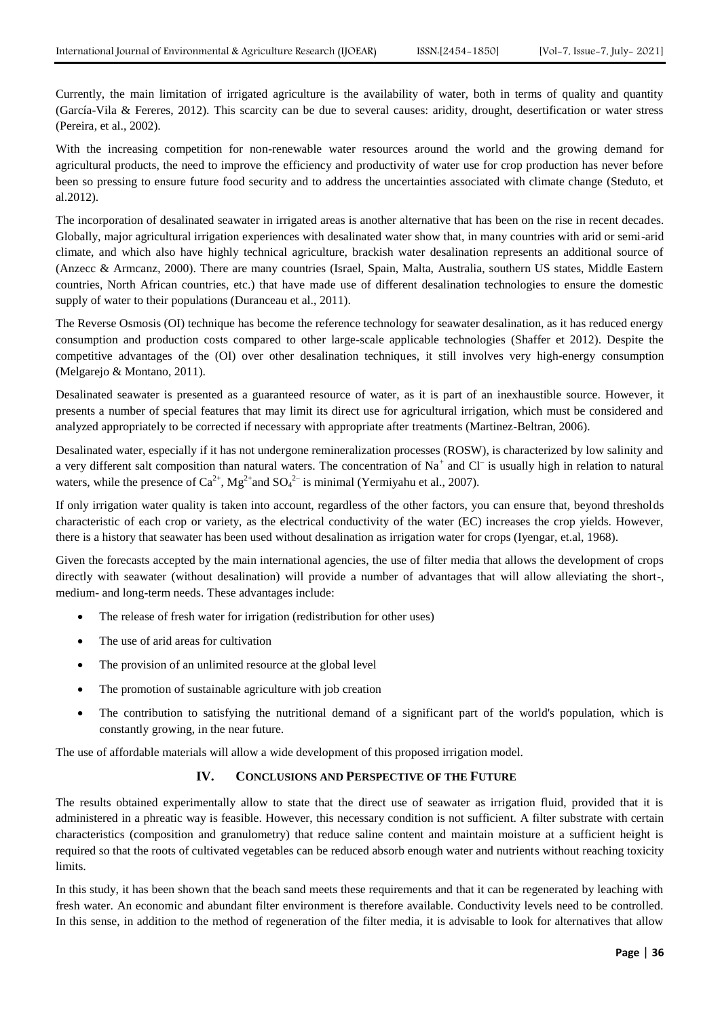Currently, the main limitation of irrigated agriculture is the availability of water, both in terms of quality and quantity (García-Vila & Fereres, 2012). This scarcity can be due to several causes: aridity, drought, desertification or water stress (Pereira, et al., 2002).

With the increasing competition for non-renewable water resources around the world and the growing demand for agricultural products, the need to improve the efficiency and productivity of water use for crop production has never before been so pressing to ensure future food security and to address the uncertainties associated with climate change (Steduto, et al.2012).

The incorporation of desalinated seawater in irrigated areas is another alternative that has been on the rise in recent decades. Globally, major agricultural irrigation experiences with desalinated water show that, in many countries with arid or semi-arid climate, and which also have highly technical agriculture, brackish water desalination represents an additional source of (Anzecc & Armcanz, 2000). There are many countries (Israel, Spain, Malta, Australia, southern US states, Middle Eastern countries, North African countries, etc.) that have made use of different desalination technologies to ensure the domestic supply of water to their populations (Duranceau et al., 2011).

The Reverse Osmosis (OI) technique has become the reference technology for seawater desalination, as it has reduced energy consumption and production costs compared to other large-scale applicable technologies (Shaffer et 2012). Despite the competitive advantages of the (OI) over other desalination techniques, it still involves very high-energy consumption (Melgarejo & Montano, 2011).

Desalinated seawater is presented as a guaranteed resource of water, as it is part of an inexhaustible source. However, it presents a number of special features that may limit its direct use for agricultural irrigation, which must be considered and analyzed appropriately to be corrected if necessary with appropriate after treatments (Martinez-Beltran, 2006).

Desalinated water, especially if it has not undergone remineralization processes (ROSW), is characterized by low salinity and a very different salt composition than natural waters. The concentration of  $Na<sup>+</sup>$  and Cl<sup>-</sup> is usually high in relation to natural waters, while the presence of  $Ca^{2+}$ ,  $Mg^{2+}$  and  $SO_4^{2-}$  is minimal (Yermiyahu et al., 2007).

If only irrigation water quality is taken into account, regardless of the other factors, you can ensure that, beyond thresholds characteristic of each crop or variety, as the electrical conductivity of the water (EC) increases the crop yields. However, there is a history that seawater has been used without desalination as irrigation water for crops (Iyengar, et.al, 1968).

Given the forecasts accepted by the main international agencies, the use of filter media that allows the development of crops directly with seawater (without desalination) will provide a number of advantages that will allow alleviating the short-, medium- and long-term needs. These advantages include:

- The release of fresh water for irrigation (redistribution for other uses)
- The use of arid areas for cultivation
- The provision of an unlimited resource at the global level
- The promotion of sustainable agriculture with job creation
- The contribution to satisfying the nutritional demand of a significant part of the world's population, which is constantly growing, in the near future.

The use of affordable materials will allow a wide development of this proposed irrigation model.

# **IV. CONCLUSIONS AND PERSPECTIVE OF THE FUTURE**

The results obtained experimentally allow to state that the direct use of seawater as irrigation fluid, provided that it is administered in a phreatic way is feasible. However, this necessary condition is not sufficient. A filter substrate with certain characteristics (composition and granulometry) that reduce saline content and maintain moisture at a sufficient height is required so that the roots of cultivated vegetables can be reduced absorb enough water and nutrients without reaching toxicity limits.

In this study, it has been shown that the beach sand meets these requirements and that it can be regenerated by leaching with fresh water. An economic and abundant filter environment is therefore available. Conductivity levels need to be controlled. In this sense, in addition to the method of regeneration of the filter media, it is advisable to look for alternatives that allow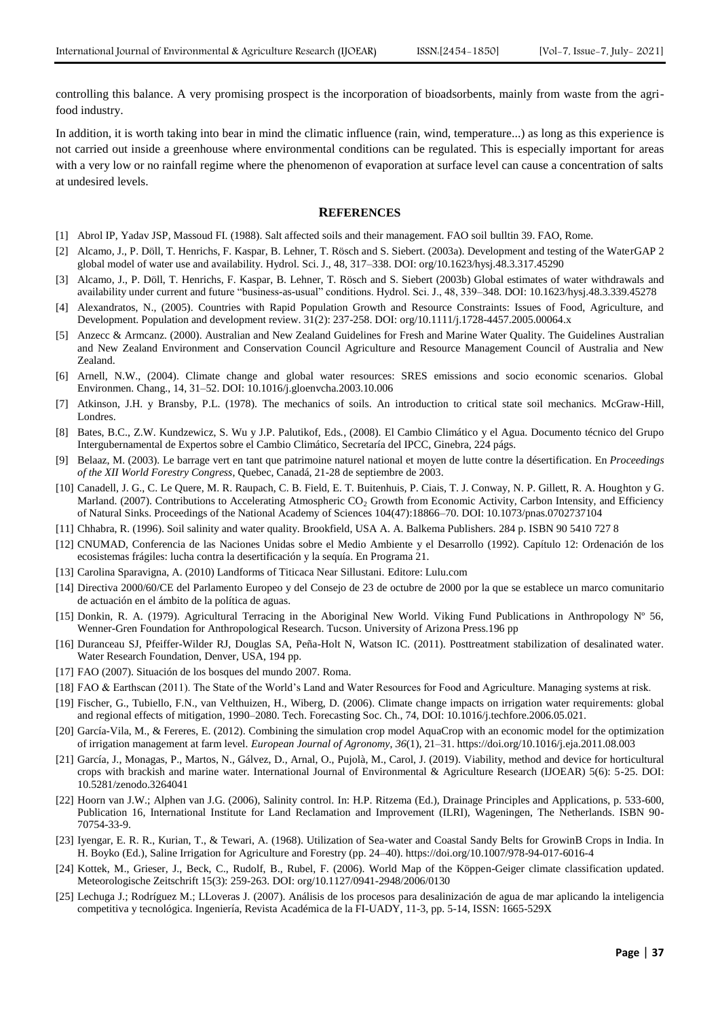controlling this balance. A very promising prospect is the incorporation of bioadsorbents, mainly from waste from the agrifood industry.

In addition, it is worth taking into bear in mind the climatic influence (rain, wind, temperature...) as long as this experience is not carried out inside a greenhouse where environmental conditions can be regulated. This is especially important for areas with a very low or no rainfall regime where the phenomenon of evaporation at surface level can cause a concentration of salts at undesired levels.

#### **REFERENCES**

- [1] Abrol IP, Yadav JSP, Massoud FI. (1988). Salt affected soils and their management. FAO soil bulltin 39. FAO, Rome.
- [2] Alcamo, J., P. Döll, T. Henrichs, F. Kaspar, B. Lehner, T. Rösch and S. Siebert. (2003a). Development and testing of the WaterGAP 2 global model of water use and availability. Hydrol. Sci. J., 48, 317–338. [DOI: org/10.1623/hysj.48.3.317.45290](https://doi.org/10.1623/hysj.48.3.317.45290)
- [3] Alcamo, J., P. Döll, T. Henrichs, F. Kaspar, B. Lehner, T. Rösch and S. Siebert (2003b) Global estimates of water withdrawals and availability under current and future "business-as-usual" conditions. Hydrol. Sci. J., 48, 339–348. DOI: 10.1623/hysj.48.3.339.45278
- [4] Alexandratos, N., (2005). Countries with Rapid Population Growth and Resource Constraints: Issues of Food, Agriculture, and Development. Population and development review. 31(2): 237-258. [DOI: org/10.1111/j.1728-4457.2005.00064.x](https://doi.org/10.1111/j.1728-4457.2005.00064.x)
- [5] Anzecc & Armcanz. (2000). Australian and New Zealand Guidelines for Fresh and Marine Water Quality. The Guidelines Australian and New Zealand Environment and Conservation Council Agriculture and Resource Management Council of Australia and New Zealand.
- [6] Arnell, N.W., (2004). Climate change and global water resources: SRES emissions and socio economic scenarios. Global Environmen. Chang., 14, 31–52. DOI: 10.1016/j.gloenvcha.2003.10.006
- [7] Atkinson, J.H. y Bransby, P.L. (1978). The mechanics of soils. An introduction to critical state soil mechanics. McGraw-Hill, Londres.
- [8] Bates, B.C., Z.W. Kundzewicz, S. Wu y J.P. Palutikof, Eds., (2008). El Cambio Climático y el Agua. Documento técnico del Grupo Intergubernamental de Expertos sobre el Cambio Climático, Secretaría del IPCC, Ginebra, 224 págs.
- [9] Belaaz, M. (2003). Le barrage vert en tant que patrimoine naturel national et moyen de lutte contre la désertification. En *Proceedings of the XII World Forestry Congress*, Quebec, Canadá, 21-28 de septiembre de 2003.
- [10] Canadell, J. G., C. Le Quere, M. R. Raupach, C. B. Field, E. T. Buitenhuis, P. Ciais, T. J. Conway, N. P. Gillett, R. A. Houghton y G. Marland. (2007). Contributions to Accelerating Atmospheric CO<sub>2</sub> Growth from Economic Activity, Carbon Intensity, and Efficiency of Natural Sinks. Proceedings of the National Academy of Sciences 104(47):18866–70. DOI: 10.1073/pnas.0702737104
- [11] Chhabra, R. (1996). Soil salinity and water quality. Brookfield, USA A. A. Balkema Publishers. 284 p. ISBN 90 5410 727 8
- [12] CNUMAD, Conferencia de las Naciones Unidas sobre el Medio Ambiente y el Desarrollo (1992). Capítulo 12: Ordenación de los ecosistemas frágiles: lucha contra la desertificación y la sequía. En Programa 21.
- [13] Carolina Sparavigna, A. (2010) Landforms of Titicaca Near Sillustani. Editore: Lulu.com
- [14] Directiva 2000/60/CE del Parlamento Europeo y del Consejo de 23 de octubre de 2000 por la que se establece un marco comunitario de actuación en el ámbito de la política de aguas.
- [15] Donkin, R. A. (1979). Agricultural Terracing in the Aboriginal New World. Viking Fund Publications in Anthropology Nº 56, Wenner-Gren Foundation for Anthropological Research. Tucson. University of Arizona Press.196 pp
- [16] Duranceau SJ, Pfeiffer-Wilder RJ, Douglas SA, Peña-Holt N, Watson IC. (2011). Posttreatment stabilization of desalinated water. Water Research Foundation, Denver, USA, 194 pp.
- [17] FAO (2007). Situación de los bosques del mundo 2007. Roma.
- [18] FAO & Earthscan (2011). The State of the World's Land and Water Resources for Food and Agriculture. Managing systems at risk.
- [19] Fischer, G., Tubiello, F.N., van Velthuizen, H., Wiberg, D. (2006). Climate change impacts on irrigation water requirements: global and regional effects of mitigation, 1990–2080. Tech. Forecasting Soc. Ch., 74, DOI: 10.1016/j.techfore.2006.05.021.
- [20] García-Vila, M., & Fereres, E. (2012). Combining the simulation crop model AquaCrop with an economic model for the optimization of irrigation management at farm level. *European Journal of Agronomy*, *36*(1), 21–31. https://doi.org/10.1016/j.eja.2011.08.003
- [21] García, J., Monagas, P., Martos, N., Gálvez, D., Arnal, O., Pujolà, M., Carol, J. (2019). Viability, method and device for horticultural crops with brackish and marine water. International Journal of Environmental & Agriculture Research (IJOEAR) 5(6): 5-25. DOI: 10.5281/zenodo.3264041
- [22] Hoorn van J.W.; Alphen van J.G. (2006), Salinity control. In: H.P. Ritzema (Ed.), Drainage Principles and Applications, p. 533-600, Publication 16, International Institute for Land Reclamation and Improvement (ILRI), Wageningen, The Netherlands. ISBN 90- 70754-33-9.
- [23] Iyengar, E. R. R., Kurian, T., & Tewari, A. (1968). Utilization of Sea-water and Coastal Sandy Belts for GrowinB Crops in India. In H. Boyko (Ed.), Saline Irrigation for Agriculture and Forestry (pp. 24–40). https://doi.org/10.1007/978-94-017-6016-4
- [24] Kottek, M., Grieser, J., Beck, C., Rudolf, B., Rubel, F. (2006). World Map of the Köppen-Geiger climate classification updated. Meteorologische Zeitschrift 15(3): 259-263. DOI: org/10.1127/0941-2948/2006/0130
- [25] Lechuga J.; Rodríguez M.; LLoveras J. (2007). Análisis de los procesos para desalinización de agua de mar aplicando la inteligencia competitiva y tecnológica. Ingeniería, Revista Académica de la FI-UADY, 11-3, pp. 5-14, ISSN: 1665-529X